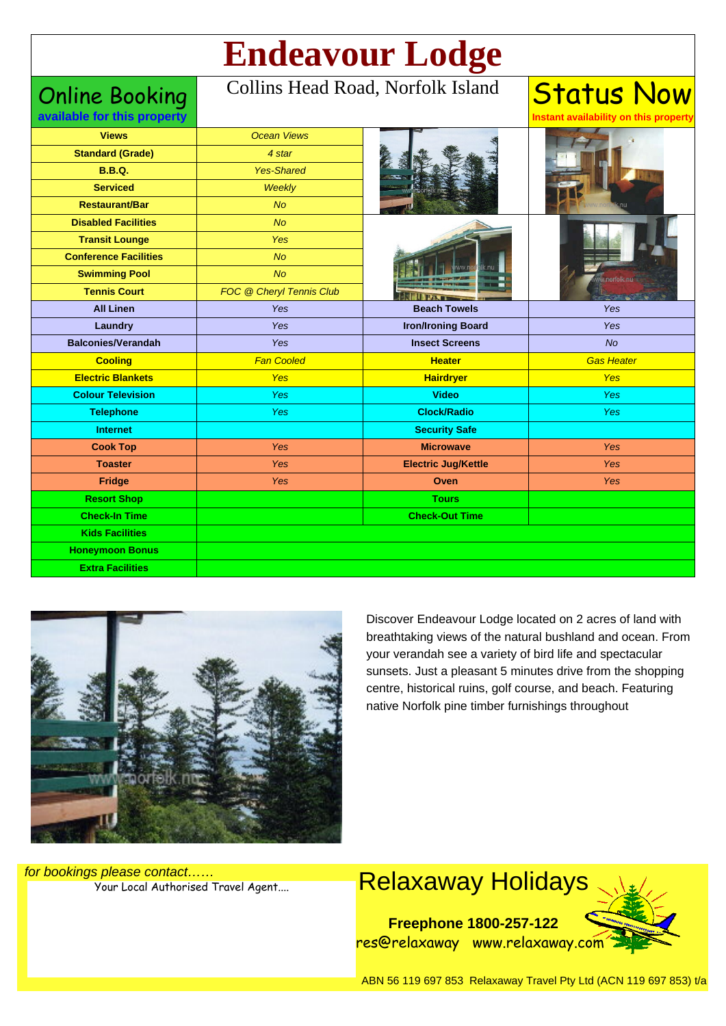# **Endeavour Lodge**

Online Booking

#### Collins Head Road, Norfolk Island

**Status Now Instant availability on this property**

| available for this property  |                          |                            | Instant availability on this property |
|------------------------------|--------------------------|----------------------------|---------------------------------------|
| <b>Views</b>                 | <b>Ocean Views</b>       |                            |                                       |
| <b>Standard (Grade)</b>      | 4 star                   |                            |                                       |
| <b>B.B.Q.</b>                | <b>Yes-Shared</b>        |                            |                                       |
| <b>Serviced</b>              | Weekly                   |                            |                                       |
| <b>Restaurant/Bar</b>        | <b>No</b>                |                            |                                       |
| <b>Disabled Facilities</b>   | <b>No</b>                |                            |                                       |
| <b>Transit Lounge</b>        | Yes                      |                            |                                       |
| <b>Conference Facilities</b> | <b>No</b>                |                            |                                       |
| <b>Swimming Pool</b>         | No                       |                            |                                       |
| <b>Tennis Court</b>          | FOC @ Cheryl Tennis Club |                            |                                       |
| <b>All Linen</b>             | Yes                      | <b>Beach Towels</b>        | Yes                                   |
| Laundry                      | Yes                      | <b>Iron/Ironing Board</b>  | Yes                                   |
| <b>Balconies/Verandah</b>    | Yes                      | <b>Insect Screens</b>      | <b>No</b>                             |
| <b>Cooling</b>               | <b>Fan Cooled</b>        | <b>Heater</b>              | <b>Gas Heater</b>                     |
| <b>Electric Blankets</b>     | Yes                      | <b>Hairdryer</b>           | Yes                                   |
| <b>Colour Television</b>     | Yes                      | <b>Video</b>               | Yes                                   |
| <b>Telephone</b>             | Yes                      | <b>Clock/Radio</b>         | <b>Yes</b>                            |
| <b>Internet</b>              |                          | <b>Security Safe</b>       |                                       |
| <b>Cook Top</b>              | Yes                      | <b>Microwave</b>           | Yes                                   |
| <b>Toaster</b>               | Yes                      | <b>Electric Jug/Kettle</b> | <b>Yes</b>                            |
| Fridge                       | Yes                      | Oven                       | Yes                                   |
| <b>Resort Shop</b>           |                          | <b>Tours</b>               |                                       |
| <b>Check-In Time</b>         |                          | <b>Check-Out Time</b>      |                                       |
| <b>Kids Facilities</b>       |                          |                            |                                       |
| <b>Honeymoon Bonus</b>       |                          |                            |                                       |
| <b>Extra Facilities</b>      |                          |                            |                                       |



Discover Endeavour Lodge located on 2 acres of land with breathtaking views of the natural bushland and ocean. From your verandah see a variety of bird life and spectacular sunsets. Just a pleasant 5 minutes drive from the shopping centre, historical ruins, golf course, and beach. Featuring native Norfolk pine timber furnishings throughout

for bookings please contact……